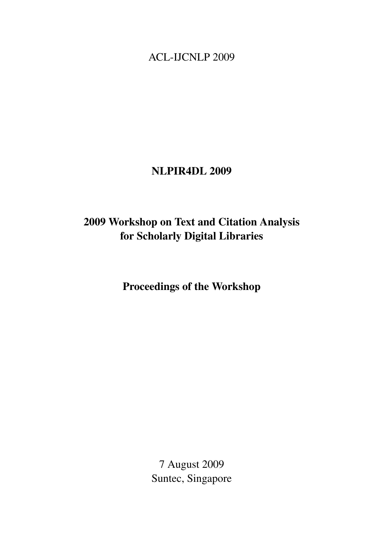<span id="page-0-0"></span>ACL-IJCNLP 2009

## NLPIR4DL 2009

# 2009 Workshop on Text and Citation Analysis for Scholarly Digital Libraries

Proceedings of the Workshop

7 August 2009 Suntec, Singapore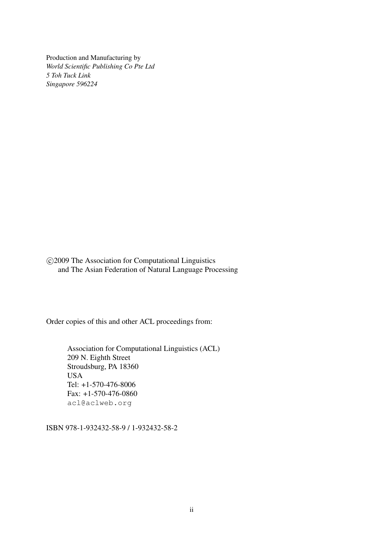Production and Manufacturing by *World Scientific Publishing Co Pte Ltd 5 Toh Tuck Link Singapore 596224*

 c 2009 The Association for Computational Linguistics and The Asian Federation of Natural Language Processing

Order copies of this and other ACL proceedings from:

Association for Computational Linguistics (ACL) 209 N. Eighth Street Stroudsburg, PA 18360 USA Tel: +1-570-476-8006 Fax: +1-570-476-0860 acl@aclweb.org

ISBN 978-1-932432-58-9 / 1-932432-58-2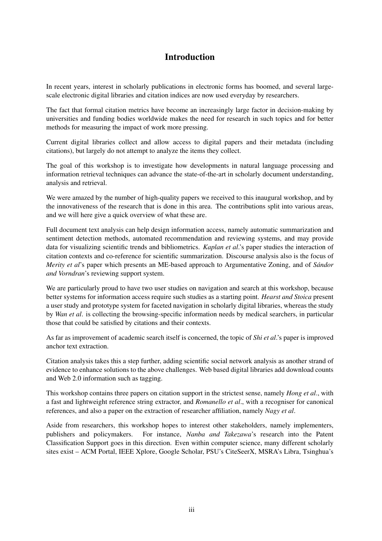### Introduction

In recent years, interest in scholarly publications in electronic forms has boomed, and several largescale electronic digital libraries and citation indices are now used everyday by researchers.

The fact that formal citation metrics have become an increasingly large factor in decision-making by universities and funding bodies worldwide makes the need for research in such topics and for better methods for measuring the impact of work more pressing.

Current digital libraries collect and allow access to digital papers and their metadata (including citations), but largely do not attempt to analyze the items they collect.

The goal of this workshop is to investigate how developments in natural language processing and information retrieval techniques can advance the state-of-the-art in scholarly document understanding, analysis and retrieval.

We were amazed by the number of high-quality papers we received to this inaugural workshop, and by the innovativeness of the research that is done in this area. The contributions split into various areas, and we will here give a quick overview of what these are.

Full document text analysis can help design information access, namely automatic summarization and sentiment detection methods, automated recommendation and reviewing systems, and may provide data for visualizing scientific trends and bibliometrics. *Kaplan et al*.'s paper studies the interaction of citation contexts and co-reference for scientific summarization. Discourse analysis also is the focus of *Merity et al's* paper which presents an ME-based approach to Argumentative Zoning, and of *Sándor and Vorndran*'s reviewing support system.

We are particularly proud to have two user studies on navigation and search at this workshop, because better systems for information access require such studies as a starting point. *Hearst and Stoica* present a user study and prototype system for faceted navigation in scholarly digital libraries, whereas the study by *Wan et al*. is collecting the browsing-specific information needs by medical searchers, in particular those that could be satisfied by citations and their contexts.

As far as improvement of academic search itself is concerned, the topic of *Shi et al*.'s paper is improved anchor text extraction.

Citation analysis takes this a step further, adding scientific social network analysis as another strand of evidence to enhance solutions to the above challenges. Web based digital libraries add download counts and Web 2.0 information such as tagging.

This workshop contains three papers on citation support in the strictest sense, namely *Hong et al*., with a fast and lightweight reference string extractor, and *Romanello et al*., with a recogniser for canonical references, and also a paper on the extraction of researcher affiliation, namely *Nagy et al*.

Aside from researchers, this workshop hopes to interest other stakeholders, namely implementers, publishers and policymakers. For instance, *Nanba and Takezawa*'s research into the Patent Classification Support goes in this direction. Even within computer science, many different scholarly sites exist – ACM Portal, IEEE Xplore, Google Scholar, PSU's CiteSeerX, MSRA's Libra, Tsinghua's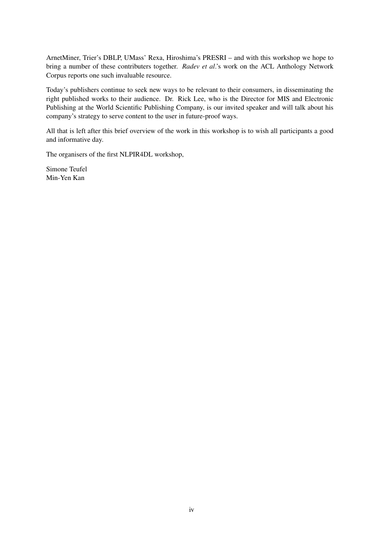ArnetMiner, Trier's DBLP, UMass' Rexa, Hiroshima's PRESRI – and with this workshop we hope to bring a number of these contributers together. *Radev et al*.'s work on the ACL Anthology Network Corpus reports one such invaluable resource.

Today's publishers continue to seek new ways to be relevant to their consumers, in disseminating the right published works to their audience. Dr. Rick Lee, who is the Director for MIS and Electronic Publishing at the World Scientific Publishing Company, is our invited speaker and will talk about his company's strategy to serve content to the user in future-proof ways.

All that is left after this brief overview of the work in this workshop is to wish all participants a good and informative day.

The organisers of the first NLPIR4DL workshop,

Simone Teufel Min-Yen Kan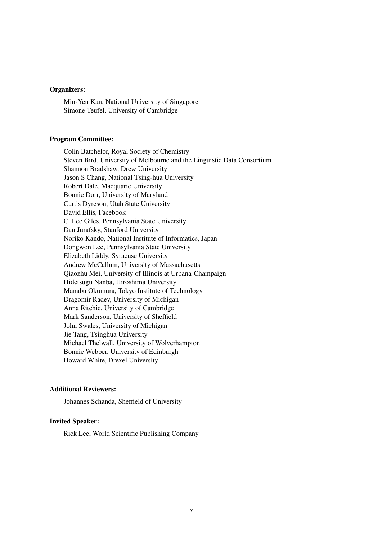### Organizers:

Min-Yen Kan, National University of Singapore Simone Teufel, University of Cambridge

### Program Committee:

Colin Batchelor, Royal Society of Chemistry Steven Bird, University of Melbourne and the Linguistic Data Consortium Shannon Bradshaw, Drew University Jason S Chang, National Tsing-hua University Robert Dale, Macquarie University Bonnie Dorr, University of Maryland Curtis Dyreson, Utah State University David Ellis, Facebook C. Lee Giles, Pennsylvania State University Dan Jurafsky, Stanford University Noriko Kando, National Institute of Informatics, Japan Dongwon Lee, Pennsylvania State University Elizabeth Liddy, Syracuse University Andrew McCallum, University of Massachusetts Qiaozhu Mei, University of Illinois at Urbana-Champaign Hidetsugu Nanba, Hiroshima University Manabu Okumura, Tokyo Institute of Technology Dragomir Radev, University of Michigan Anna Ritchie, University of Cambridge Mark Sanderson, University of Sheffield John Swales, University of Michigan Jie Tang, Tsinghua University Michael Thelwall, University of Wolverhampton Bonnie Webber, University of Edinburgh Howard White, Drexel University

#### Additional Reviewers:

Johannes Schanda, Sheffield of University

### Invited Speaker:

Rick Lee, World Scientific Publishing Company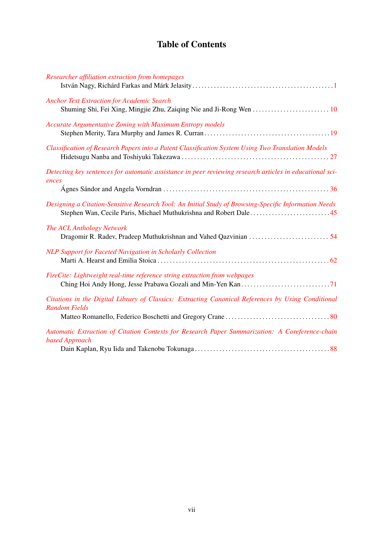## Table of Contents

| Researcher affiliation extraction from homepages                                                                           |
|----------------------------------------------------------------------------------------------------------------------------|
| <b>Anchor Text Extraction for Academic Search</b>                                                                          |
| <b>Accurate Argumentative Zoning with Maximum Entropy models</b>                                                           |
| Classification of Research Papers into a Patent Classification System Using Two Translation Models                         |
| Detecting key sentences for automatic assistance in peer reviewing research articles in educational sci-<br>ences          |
| Designing a Citation-Sensitive Research Tool: An Initial Study of Browsing-Specific Information Needs                      |
| The ACL Anthology Network                                                                                                  |
| NLP Support for Faceted Navigation in Scholarly Collection                                                                 |
| FireCite: Lightweight real-time reference string extraction from webpages                                                  |
| Citations in the Digital Library of Classics: Extracting Canonical References by Using Conditional<br><b>Random Fields</b> |
| Automatic Extraction of Citation Contexts for Research Paper Summarization: A Coreference-chain<br>based Approach          |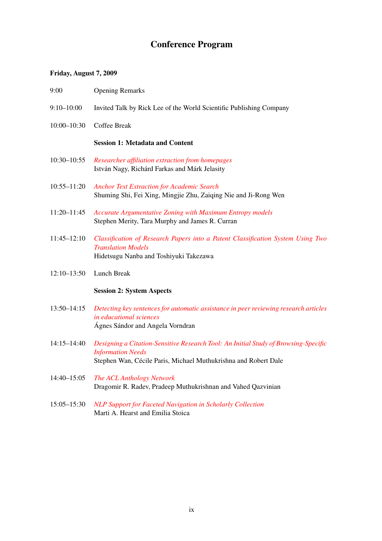### Conference Program

### Friday, August 7, 2009

- 9:00 Opening Remarks
- 9:10–10:00 Invited Talk by Rick Lee of the World Scientific Publishing Company
- 10:00–10:30 Coffee Break

### Session 1: Metadata and Content

- 10:30–10:55 *[Researcher affiliation extraction from homepages](#page-0-0)* István Nagy, Richárd Farkas and Márk Jelasity
- 10:55–11:20 *[Anchor Text Extraction for Academic Search](#page-0-0)* Shuming Shi, Fei Xing, Mingjie Zhu, Zaiqing Nie and Ji-Rong Wen
- 11:20–11:45 *[Accurate Argumentative Zoning with Maximum Entropy models](#page-0-0)* Stephen Merity, Tara Murphy and James R. Curran
- 11:45–12:10 *[Classification of Research Papers into a Patent Classification System Using Two](#page-0-0) [Translation Models](#page-0-0)* Hidetsugu Nanba and Toshiyuki Takezawa
- 12:10–13:50 Lunch Break

### Session 2: System Aspects

- 13:50–14:15 *[Detecting key sentences for automatic assistance in peer reviewing research articles](#page-0-0) [in educational sciences](#page-0-0)* Ágnes Sándor and Angela Vorndran
- 14:15–14:40 *[Designing a Citation-Sensitive Research Tool: An Initial Study of Browsing-Specific](#page-0-0) [Information Needs](#page-0-0)* Stephen Wan, Cécile Paris, Michael Muthukrishna and Robert Dale
- 14:40–15:05 *[The ACL Anthology Network](#page-0-0)* Dragomir R. Radev, Pradeep Muthukrishnan and Vahed Qazvinian
- 15:05–15:30 *[NLP Support for Faceted Navigation in Scholarly Collection](#page-0-0)* Marti A. Hearst and Emilia Stoica